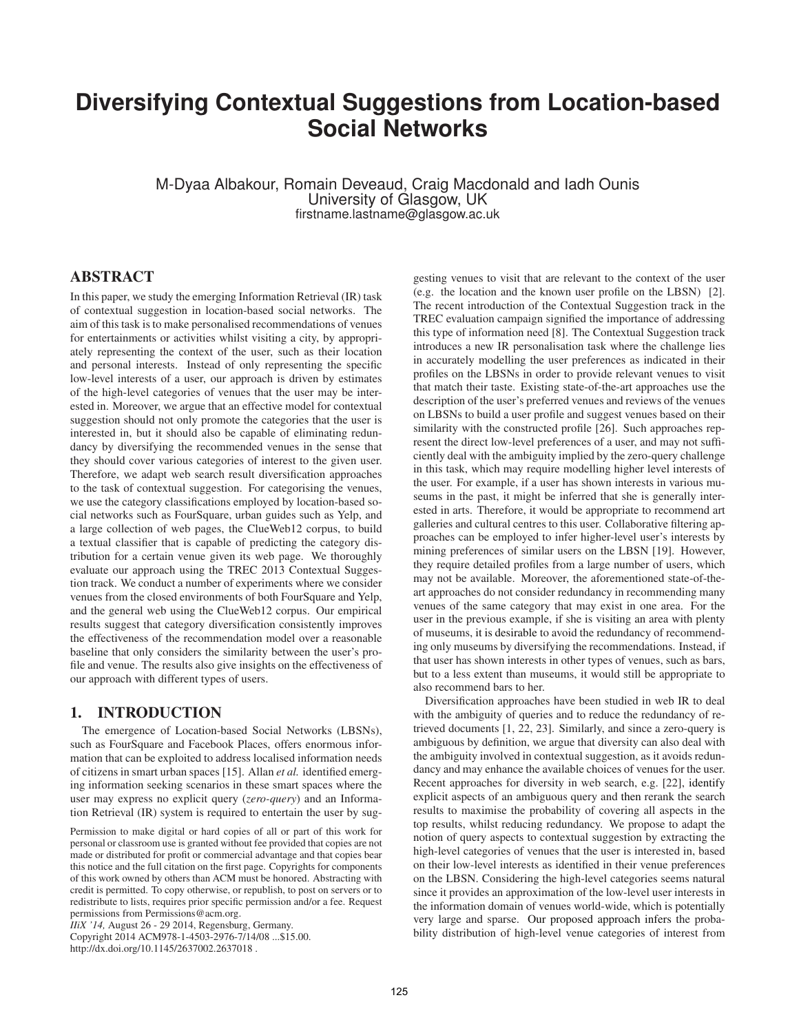# **Diversifying Contextual Suggestions from Location-based Social Networks**

M-Dyaa Albakour, Romain Deveaud, Craig Macdonald and Iadh Ounis University of Glasgow, UK firstname.lastname@glasgow.ac.uk

## ABSTRACT

In this paper, we study the emerging Information Retrieval (IR) task of contextual suggestion in location-based social networks. The aim of this task is to make personalised recommendations of venues for entertainments or activities whilst visiting a city, by appropriately representing the context of the user, such as their location and personal interests. Instead of only representing the specific low-level interests of a user, our approach is driven by estimates of the high-level categories of venues that the user may be interested in. Moreover, we argue that an effective model for contextual suggestion should not only promote the categories that the user is interested in, but it should also be capable of eliminating redundancy by diversifying the recommended venues in the sense that they should cover various categories of interest to the given user. Therefore, we adapt web search result diversification approaches to the task of contextual suggestion. For categorising the venues, we use the category classifications employed by location-based social networks such as FourSquare, urban guides such as Yelp, and a large collection of web pages, the ClueWeb12 corpus, to build a textual classifier that is capable of predicting the category distribution for a certain venue given its web page. We thoroughly evaluate our approach using the TREC 2013 Contextual Suggestion track. We conduct a number of experiments where we consider venues from the closed environments of both FourSquare and Yelp, and the general web using the ClueWeb12 corpus. Our empirical results suggest that category diversification consistently improves the effectiveness of the recommendation model over a reasonable baseline that only considers the similarity between the user's profile and venue. The results also give insights on the effectiveness of our approach with different types of users.

## 1. INTRODUCTION

The emergence of Location-based Social Networks (LBSNs), such as FourSquare and Facebook Places, offers enormous information that can be exploited to address localised information needs of citizens in smart urban spaces [15]. Allan *et al.* identified emerging information seeking scenarios in these smart spaces where the user may express no explicit query (*zero-query*) and an Information Retrieval (IR) system is required to entertain the user by sug-

Permission to make digital or hard copies of all or part of this work for personal or classroom use is granted without fee provided that copies are not made or distributed for profit or commercial advantage and that copies bear this notice and the full citation on the first page. Copyrights for components of this work owned by others than ACM must be honored. Abstracting with credit is permitted. To copy otherwise, or republish, to post on servers or to redistribute to lists, requires prior specific permission and/or a fee. Request permissions from Permissions@acm.org.

*IIiX '14,* August 26 - 29 2014, Regensburg, Germany.

Copyright 2014 ACM978-1-4503-2976-7/14/08 ...\$15.00. http://dx.doi.org/10.1145/2637002.2637018 .

gesting venues to visit that are relevant to the context of the user (e.g. the location and the known user profile on the LBSN) [2]. The recent introduction of the Contextual Suggestion track in the TREC evaluation campaign signified the importance of addressing this type of information need [8]. The Contextual Suggestion track introduces a new IR personalisation task where the challenge lies in accurately modelling the user preferences as indicated in their profiles on the LBSNs in order to provide relevant venues to visit that match their taste. Existing state-of-the-art approaches use the description of the user's preferred venues and reviews of the venues on LBSNs to build a user profile and suggest venues based on their similarity with the constructed profile [26]. Such approaches represent the direct low-level preferences of a user, and may not sufficiently deal with the ambiguity implied by the zero-query challenge in this task, which may require modelling higher level interests of the user. For example, if a user has shown interests in various museums in the past, it might be inferred that she is generally interested in arts. Therefore, it would be appropriate to recommend art galleries and cultural centres to this user. Collaborative filtering approaches can be employed to infer higher-level user's interests by mining preferences of similar users on the LBSN [19]. However, they require detailed profiles from a large number of users, which may not be available. Moreover, the aforementioned state-of-theart approaches do not consider redundancy in recommending many venues of the same category that may exist in one area. For the user in the previous example, if she is visiting an area with plenty of museums, it is desirable to avoid the redundancy of recommending only museums by diversifying the recommendations. Instead, if that user has shown interests in other types of venues, such as bars, but to a less extent than museums, it would still be appropriate to also recommend bars to her.

Diversification approaches have been studied in web IR to deal with the ambiguity of queries and to reduce the redundancy of retrieved documents [1, 22, 23]. Similarly, and since a zero-query is ambiguous by definition, we argue that diversity can also deal with the ambiguity involved in contextual suggestion, as it avoids redundancy and may enhance the available choices of venues for the user. Recent approaches for diversity in web search, e.g. [22], identify explicit aspects of an ambiguous query and then rerank the search results to maximise the probability of covering all aspects in the top results, whilst reducing redundancy. We propose to adapt the notion of query aspects to contextual suggestion by extracting the high-level categories of venues that the user is interested in, based on their low-level interests as identified in their venue preferences on the LBSN. Considering the high-level categories seems natural since it provides an approximation of the low-level user interests in the information domain of venues world-wide, which is potentially very large and sparse. Our proposed approach infers the probability distribution of high-level venue categories of interest from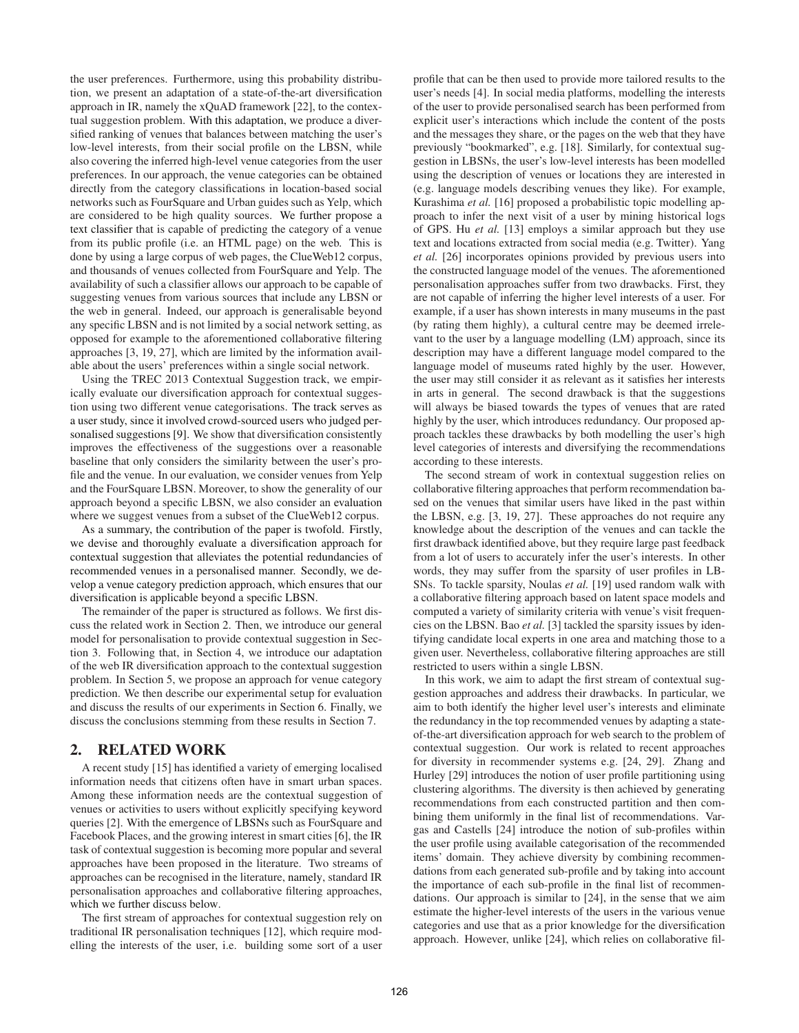the user preferences. Furthermore, using this probability distribution, we present an adaptation of a state-of-the-art diversification approach in IR, namely the xQuAD framework [22], to the contextual suggestion problem. With this adaptation, we produce a diversified ranking of venues that balances between matching the user's low-level interests, from their social profile on the LBSN, while also covering the inferred high-level venue categories from the user preferences. In our approach, the venue categories can be obtained directly from the category classifications in location-based social networks such as FourSquare and Urban guides such as Yelp, which are considered to be high quality sources. We further propose a text classifier that is capable of predicting the category of a venue from its public profile (i.e. an HTML page) on the web. This is done by using a large corpus of web pages, the ClueWeb12 corpus, and thousands of venues collected from FourSquare and Yelp. The availability of such a classifier allows our approach to be capable of suggesting venues from various sources that include any LBSN or the web in general. Indeed, our approach is generalisable beyond any specific LBSN and is not limited by a social network setting, as opposed for example to the aforementioned collaborative filtering approaches [3, 19, 27], which are limited by the information available about the users' preferences within a single social network.

Using the TREC 2013 Contextual Suggestion track, we empirically evaluate our diversification approach for contextual suggestion using two different venue categorisations. The track serves as a user study, since it involved crowd-sourced users who judged personalised suggestions [9]. We show that diversification consistently improves the effectiveness of the suggestions over a reasonable baseline that only considers the similarity between the user's profile and the venue. In our evaluation, we consider venues from Yelp and the FourSquare LBSN. Moreover, to show the generality of our approach beyond a specific LBSN, we also consider an evaluation where we suggest venues from a subset of the ClueWeb12 corpus.

As a summary, the contribution of the paper is twofold. Firstly, we devise and thoroughly evaluate a diversification approach for contextual suggestion that alleviates the potential redundancies of recommended venues in a personalised manner. Secondly, we develop a venue category prediction approach, which ensures that our diversification is applicable beyond a specific LBSN.

The remainder of the paper is structured as follows. We first discuss the related work in Section 2. Then, we introduce our general model for personalisation to provide contextual suggestion in Section 3. Following that, in Section 4, we introduce our adaptation of the web IR diversification approach to the contextual suggestion problem. In Section 5, we propose an approach for venue category prediction. We then describe our experimental setup for evaluation and discuss the results of our experiments in Section 6. Finally, we discuss the conclusions stemming from these results in Section 7.

#### 2. RELATED WORK

A recent study [15] has identified a variety of emerging localised information needs that citizens often have in smart urban spaces. Among these information needs are the contextual suggestion of venues or activities to users without explicitly specifying keyword queries [2]. With the emergence of LBSNs such as FourSquare and Facebook Places, and the growing interest in smart cities [6], the IR task of contextual suggestion is becoming more popular and several approaches have been proposed in the literature. Two streams of approaches can be recognised in the literature, namely, standard IR personalisation approaches and collaborative filtering approaches, which we further discuss below.

The first stream of approaches for contextual suggestion rely on traditional IR personalisation techniques [12], which require modelling the interests of the user, i.e. building some sort of a user profile that can be then used to provide more tailored results to the user's needs [4]. In social media platforms, modelling the interests of the user to provide personalised search has been performed from explicit user's interactions which include the content of the posts and the messages they share, or the pages on the web that they have previously "bookmarked", e.g. [18]. Similarly, for contextual suggestion in LBSNs, the user's low-level interests has been modelled using the description of venues or locations they are interested in (e.g. language models describing venues they like). For example, Kurashima *et al.* [16] proposed a probabilistic topic modelling approach to infer the next visit of a user by mining historical logs of GPS. Hu *et al.* [13] employs a similar approach but they use text and locations extracted from social media (e.g. Twitter). Yang *et al.* [26] incorporates opinions provided by previous users into the constructed language model of the venues. The aforementioned personalisation approaches suffer from two drawbacks. First, they are not capable of inferring the higher level interests of a user. For example, if a user has shown interests in many museums in the past (by rating them highly), a cultural centre may be deemed irrelevant to the user by a language modelling (LM) approach, since its description may have a different language model compared to the language model of museums rated highly by the user. However, the user may still consider it as relevant as it satisfies her interests in arts in general. The second drawback is that the suggestions will always be biased towards the types of venues that are rated highly by the user, which introduces redundancy. Our proposed approach tackles these drawbacks by both modelling the user's high level categories of interests and diversifying the recommendations according to these interests.

The second stream of work in contextual suggestion relies on collaborative filtering approaches that perform recommendation based on the venues that similar users have liked in the past within the LBSN, e.g. [3, 19, 27]. These approaches do not require any knowledge about the description of the venues and can tackle the first drawback identified above, but they require large past feedback from a lot of users to accurately infer the user's interests. In other words, they may suffer from the sparsity of user profiles in LB-SNs. To tackle sparsity, Noulas *et al.* [19] used random walk with a collaborative filtering approach based on latent space models and computed a variety of similarity criteria with venue's visit frequencies on the LBSN. Bao *et al.* [3] tackled the sparsity issues by identifying candidate local experts in one area and matching those to a given user. Nevertheless, collaborative filtering approaches are still restricted to users within a single LBSN.

In this work, we aim to adapt the first stream of contextual suggestion approaches and address their drawbacks. In particular, we aim to both identify the higher level user's interests and eliminate the redundancy in the top recommended venues by adapting a stateof-the-art diversification approach for web search to the problem of contextual suggestion. Our work is related to recent approaches for diversity in recommender systems e.g. [24, 29]. Zhang and Hurley [29] introduces the notion of user profile partitioning using clustering algorithms. The diversity is then achieved by generating recommendations from each constructed partition and then combining them uniformly in the final list of recommendations. Vargas and Castells [24] introduce the notion of sub-profiles within the user profile using available categorisation of the recommended items' domain. They achieve diversity by combining recommendations from each generated sub-profile and by taking into account the importance of each sub-profile in the final list of recommendations. Our approach is similar to [24], in the sense that we aim estimate the higher-level interests of the users in the various venue categories and use that as a prior knowledge for the diversification approach. However, unlike [24], which relies on collaborative fil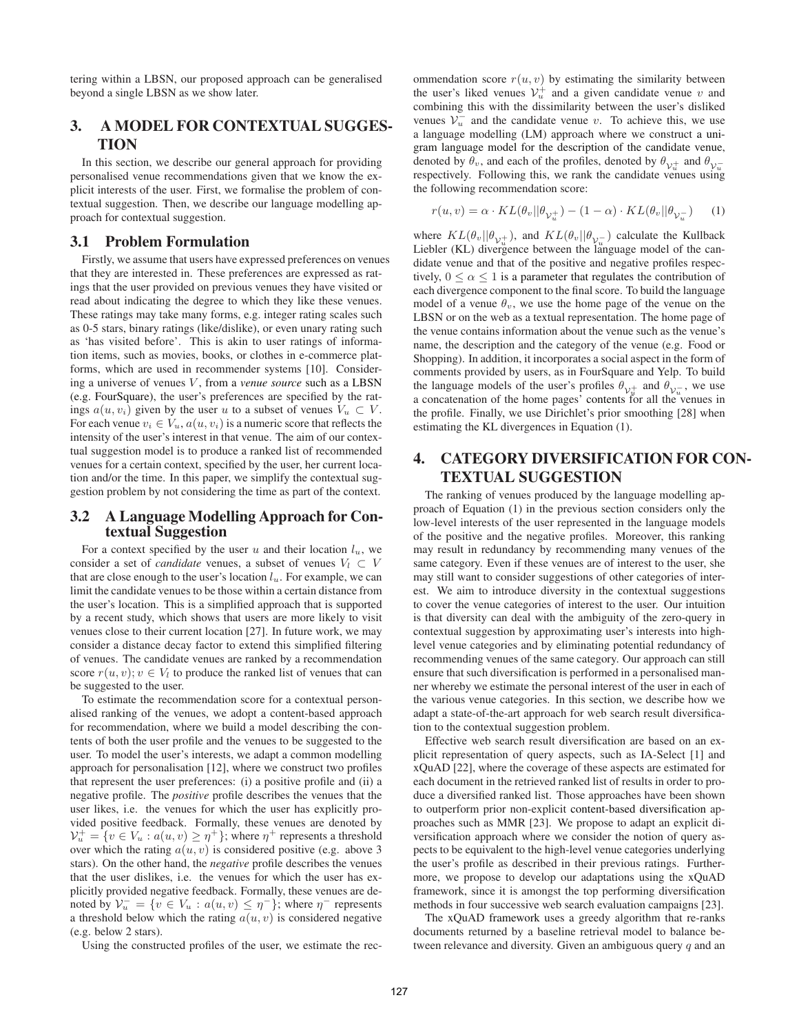tering within a LBSN, our proposed approach can be generalised beyond a single LBSN as we show later.

# 3. A MODEL FOR CONTEXTUAL SUGGES-**TION**

In this section, we describe our general approach for providing personalised venue recommendations given that we know the explicit interests of the user. First, we formalise the problem of contextual suggestion. Then, we describe our language modelling approach for contextual suggestion.

#### 3.1 Problem Formulation

Firstly, we assume that users have expressed preferences on venues that they are interested in. These preferences are expressed as ratings that the user provided on previous venues they have visited or read about indicating the degree to which they like these venues. These ratings may take many forms, e.g. integer rating scales such as 0-5 stars, binary ratings (like/dislike), or even unary rating such as 'has visited before'. This is akin to user ratings of information items, such as movies, books, or clothes in e-commerce platforms, which are used in recommender systems [10]. Considering a universe of venues V, from a *venue source* such as a LBSN (e.g. FourSquare), the user's preferences are specified by the ratings  $a(u, v_i)$  given by the user u to a subset of venues  $V_u \subset V$ . For each venue  $v_i \in V_u$ ,  $a(u, v_i)$  is a numeric score that reflects the intensity of the user's interest in that venue. The aim of our contextual suggestion model is to produce a ranked list of recommended venues for a certain context, specified by the user, her current location and/or the time. In this paper, we simplify the contextual suggestion problem by not considering the time as part of the context.

# 3.2 A Language Modelling Approach for Contextual Suggestion

For a context specified by the user  $u$  and their location  $l_u$ , we consider a set of *candidate* venues, a subset of venues  $V_l \subset V$ that are close enough to the user's location  $l<sub>u</sub>$ . For example, we can limit the candidate venues to be those within a certain distance from the user's location. This is a simplified approach that is supported by a recent study, which shows that users are more likely to visit venues close to their current location [27]. In future work, we may consider a distance decay factor to extend this simplified filtering of venues. The candidate venues are ranked by a recommendation score  $r(u, v); v \in V_l$  to produce the ranked list of venues that can be suggested to the user.

To estimate the recommendation score for a contextual personalised ranking of the venues, we adopt a content-based approach for recommendation, where we build a model describing the contents of both the user profile and the venues to be suggested to the user. To model the user's interests, we adapt a common modelling approach for personalisation [12], where we construct two profiles that represent the user preferences: (i) a positive profile and (ii) a negative profile. The *positive* profile describes the venues that the user likes, i.e. the venues for which the user has explicitly provided positive feedback. Formally, these venues are denoted by  $\mathcal{V}_u^+ = \{ v \in V_u : a(u, v) \geq \eta^+ \}$ ; where  $\eta^+$  represents a threshold over which the rating  $a(u, v)$  is considered positive (e.g. above 3 stars). On the other hand, the *negative* profile describes the venues that the user dislikes, i.e. the venues for which the user has explicitly provided negative feedback. Formally, these venues are denoted by  $\mathcal{V}_u^- = \{ v \in V_u : a(u, v) \leq \eta^- \}$ ; where  $\eta^-$  represents a threshold below which the rating  $a(u, v)$  is considered negative (e.g. below 2 stars).

Using the constructed profiles of the user, we estimate the rec-

ommendation score  $r(u, v)$  by estimating the similarity between the user's liked venues  $\mathcal{V}_u^+$  and a given candidate venue v and combining this with the dissimilarity between the user's disliked venues  $V_u^-$  and the candidate venue v. To achieve this, we use a language modelling (LM) approach where we construct a unigram language model for the description of the candidate venue, denoted by  $\theta_v$ , and each of the profiles, denoted by  $\theta_{v_u^+}$  and  $\theta_{v_u^-}$ respectively. Following this, we rank the candidate venues using the following recommendation score:

$$
r(u, v) = \alpha \cdot KL(\theta_v || \theta_{\mathcal{V}_u^+}) - (1 - \alpha) \cdot KL(\theta_v || \theta_{\mathcal{V}_u^-}) \tag{1}
$$

where  $KL(\theta_v || \theta_{v_u^+})$ , and  $KL(\theta_v || \theta_{v_u^-})$  calculate the Kullback Liebler (KL) divergence between the language model of the candidate venue and that of the positive and negative profiles respectively,  $0 \le \alpha \le 1$  is a parameter that regulates the contribution of each divergence component to the final score. To build the language model of a venue  $\theta_v$ , we use the home page of the venue on the LBSN or on the web as a textual representation. The home page of the venue contains information about the venue such as the venue's name, the description and the category of the venue (e.g. Food or Shopping). In addition, it incorporates a social aspect in the form of comments provided by users, as in FourSquare and Yelp. To build the language models of the user's profiles  $\theta_{\mathcal{V}_{\mu}^{+}}$  and  $\theta_{\mathcal{V}_{u}^{-}}$ , we use a concatenation of the home pages' contents for all the venues in the profile. Finally, we use Dirichlet's prior smoothing [28] when estimating the KL divergences in Equation (1).

# 4. CATEGORY DIVERSIFICATION FOR CON-TEXTUAL SUGGESTION

The ranking of venues produced by the language modelling approach of Equation (1) in the previous section considers only the low-level interests of the user represented in the language models of the positive and the negative profiles. Moreover, this ranking may result in redundancy by recommending many venues of the same category. Even if these venues are of interest to the user, she may still want to consider suggestions of other categories of interest. We aim to introduce diversity in the contextual suggestions to cover the venue categories of interest to the user. Our intuition is that diversity can deal with the ambiguity of the zero-query in contextual suggestion by approximating user's interests into highlevel venue categories and by eliminating potential redundancy of recommending venues of the same category. Our approach can still ensure that such diversification is performed in a personalised manner whereby we estimate the personal interest of the user in each of the various venue categories. In this section, we describe how we adapt a state-of-the-art approach for web search result diversification to the contextual suggestion problem.

Effective web search result diversification are based on an explicit representation of query aspects, such as IA-Select [1] and xQuAD [22], where the coverage of these aspects are estimated for each document in the retrieved ranked list of results in order to produce a diversified ranked list. Those approaches have been shown to outperform prior non-explicit content-based diversification approaches such as MMR [23]. We propose to adapt an explicit diversification approach where we consider the notion of query aspects to be equivalent to the high-level venue categories underlying the user's profile as described in their previous ratings. Furthermore, we propose to develop our adaptations using the xQuAD framework, since it is amongst the top performing diversification methods in four successive web search evaluation campaigns [23].

The xQuAD framework uses a greedy algorithm that re-ranks documents returned by a baseline retrieval model to balance between relevance and diversity. Given an ambiguous query q and an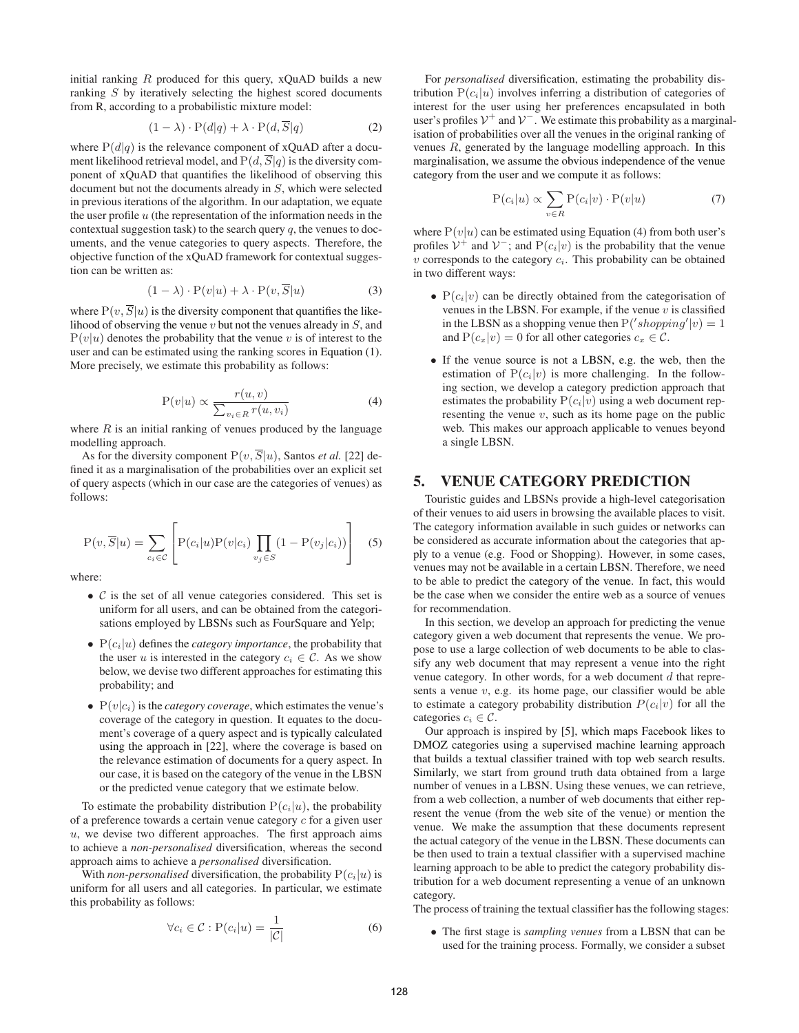initial ranking  $R$  produced for this query, xQuAD builds a new ranking S by iteratively selecting the highest scored documents from R, according to a probabilistic mixture model:

$$
(1 - \lambda) \cdot P(d|q) + \lambda \cdot P(d, \overline{S}|q)
$$
 (2)

where  $P(d|q)$  is the relevance component of xQuAD after a document likelihood retrieval model, and  $P(d, S|q)$  is the diversity component of xQuAD that quantifies the likelihood of observing this document but not the documents already in S, which were selected in previous iterations of the algorithm. In our adaptation, we equate the user profile  $u$  (the representation of the information needs in the contextual suggestion task) to the search query  $q$ , the venues to documents, and the venue categories to query aspects. Therefore, the objective function of the xQuAD framework for contextual suggestion can be written as:

$$
(1 - \lambda) \cdot P(v|u) + \lambda \cdot P(v, \overline{S}|u)
$$
 (3)

where  $P(v, \overline{S}|u)$  is the diversity component that quantifies the likelihood of observing the venue  $v$  but not the venues already in  $S$ , and  $P(v|u)$  denotes the probability that the venue v is of interest to the user and can be estimated using the ranking scores in Equation (1). More precisely, we estimate this probability as follows:

$$
P(v|u) \propto \frac{r(u,v)}{\sum_{v_i \in R} r(u,v_i)}\tag{4}
$$

where  $R$  is an initial ranking of venues produced by the language modelling approach.

As for the diversity component  $P(v, \overline{S}|u)$ , Santos *et al.* [22] defined it as a marginalisation of the probabilities over an explicit set of query aspects (which in our case are the categories of venues) as follows:

$$
P(v, \overline{S}|u) = \sum_{c_i \in C} \left[ P(c_i|u)P(v|c_i) \prod_{v_j \in S} (1 - P(v_j|c_i)) \right]
$$
 (5)

where:

- $\mathcal C$  is the set of all venue categories considered. This set is uniform for all users, and can be obtained from the categorisations employed by LBSNs such as FourSquare and Yelp;
- $P(c_i|u)$  defines the *category importance*, the probability that the user u is interested in the category  $c_i \in \mathcal{C}$ . As we show below, we devise two different approaches for estimating this probability; and
- $P(v|c_i)$  is the *category coverage*, which estimates the venue's coverage of the category in question. It equates to the document's coverage of a query aspect and is typically calculated using the approach in [22], where the coverage is based on the relevance estimation of documents for a query aspect. In our case, it is based on the category of the venue in the LBSN or the predicted venue category that we estimate below.

To estimate the probability distribution  $P(c_i|u)$ , the probability of a preference towards a certain venue category c for a given user  $u$ , we devise two different approaches. The first approach aims to achieve a *non-personalised* diversification, whereas the second approach aims to achieve a *personalised* diversification.

With *non-personalised* diversification, the probability  $P(c_i|u)$  is uniform for all users and all categories. In particular, we estimate this probability as follows:

$$
\forall c_i \in \mathcal{C} : \mathcal{P}(c_i|u) = \frac{1}{|\mathcal{C}|} \tag{6}
$$

For *personalised* diversification, estimating the probability distribution  $P(c_i|u)$  involves inferring a distribution of categories of interest for the user using her preferences encapsulated in both user's profiles  $V^+$  and  $V^-$ . We estimate this probability as a marginalisation of probabilities over all the venues in the original ranking of venues R, generated by the language modelling approach. In this marginalisation, we assume the obvious independence of the venue category from the user and we compute it as follows:

$$
P(c_i|u) \propto \sum_{v \in R} P(c_i|v) \cdot P(v|u) \tag{7}
$$

where  $P(v|u)$  can be estimated using Equation (4) from both user's profiles  $V^+$  and  $V^-$ ; and  $P(c_i|v)$  is the probability that the venue  $v$  corresponds to the category  $c_i$ . This probability can be obtained in two different ways:

- $P(c_i|v)$  can be directly obtained from the categorisation of venues in the LBSN. For example, if the venue  $v$  is classified in the LBSN as a shopping venue then  $P('shopping'|v) = 1$ and  $P(c_x|v)=0$  for all other categories  $c_x \in \mathcal{C}$ .
- If the venue source is not a LBSN, e.g. the web, then the estimation of  $P(c_i|v)$  is more challenging. In the following section, we develop a category prediction approach that estimates the probability  $P(c_i|v)$  using a web document representing the venue  $v$ , such as its home page on the public web. This makes our approach applicable to venues beyond a single LBSN.

# 5. VENUE CATEGORY PREDICTION

Touristic guides and LBSNs provide a high-level categorisation of their venues to aid users in browsing the available places to visit. The category information available in such guides or networks can be considered as accurate information about the categories that apply to a venue (e.g. Food or Shopping). However, in some cases, venues may not be available in a certain LBSN. Therefore, we need to be able to predict the category of the venue. In fact, this would be the case when we consider the entire web as a source of venues for recommendation.

In this section, we develop an approach for predicting the venue category given a web document that represents the venue. We propose to use a large collection of web documents to be able to classify any web document that may represent a venue into the right venue category. In other words, for a web document  $d$  that represents a venue  $v$ , e.g. its home page, our classifier would be able to estimate a category probability distribution  $P(c_i|v)$  for all the categories  $c_i \in \mathcal{C}$ .

Our approach is inspired by [5], which maps Facebook likes to DMOZ categories using a supervised machine learning approach that builds a textual classifier trained with top web search results. Similarly, we start from ground truth data obtained from a large number of venues in a LBSN. Using these venues, we can retrieve, from a web collection, a number of web documents that either represent the venue (from the web site of the venue) or mention the venue. We make the assumption that these documents represent the actual category of the venue in the LBSN. These documents can be then used to train a textual classifier with a supervised machine learning approach to be able to predict the category probability distribution for a web document representing a venue of an unknown category.

The process of training the textual classifier hasthe following stages:

• The first stage is *sampling venues* from a LBSN that can be used for the training process. Formally, we consider a subset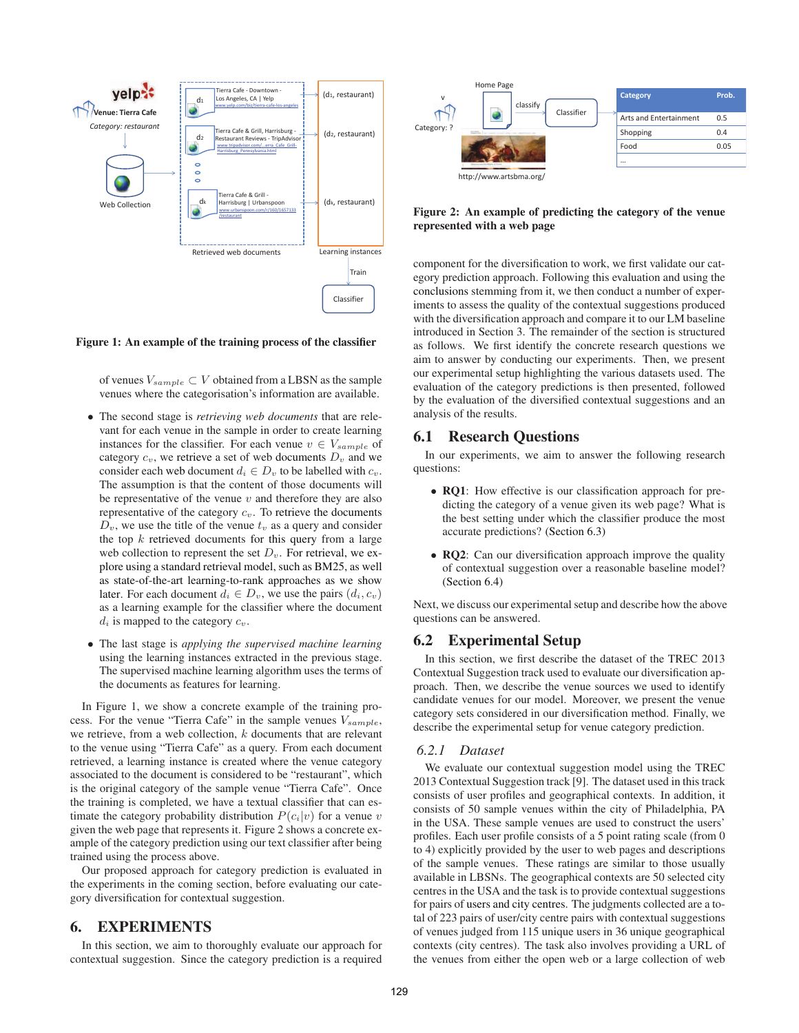

Figure 1: An example of the training process of the classifier

of venues V*sample* ⊂ V obtained from a LBSN as the sample venues where the categorisation's information are available.

- The second stage is *retrieving web documents* that are relevant for each venue in the sample in order to create learning instances for the classifier. For each venue  $v \in V_{sample}$  of category  $c_v$ , we retrieve a set of web documents  $D_v$  and we consider each web document  $d_i \in D_v$  to be labelled with  $c_v$ . The assumption is that the content of those documents will be representative of the venue  $v$  and therefore they are also representative of the category c*v*. To retrieve the documents  $D_v$ , we use the title of the venue  $t_v$  as a query and consider the top  $k$  retrieved documents for this query from a large web collection to represent the set D*v*. For retrieval, we explore using a standard retrieval model, such as BM25, as well as state-of-the-art learning-to-rank approaches as we show later. For each document  $d_i \in D_v$ , we use the pairs  $(d_i, c_v)$ as a learning example for the classifier where the document  $d_i$  is mapped to the category  $c_v$ .
- The last stage is *applying the supervised machine learning* using the learning instances extracted in the previous stage. The supervised machine learning algorithm uses the terms of the documents as features for learning.

In Figure 1, we show a concrete example of the training process. For the venue "Tierra Cafe" in the sample venues V*sample*, we retrieve, from a web collection,  $k$  documents that are relevant to the venue using "Tierra Cafe" as a query. From each document retrieved, a learning instance is created where the venue category associated to the document is considered to be "restaurant", which is the original category of the sample venue "Tierra Cafe". Once the training is completed, we have a textual classifier that can estimate the category probability distribution  $P(c_i|v)$  for a venue v given the web page that represents it. Figure 2 shows a concrete example of the category prediction using our text classifier after being trained using the process above.

Our proposed approach for category prediction is evaluated in the experiments in the coming section, before evaluating our category diversification for contextual suggestion.

#### 6. EXPERIMENTS

In this section, we aim to thoroughly evaluate our approach for contextual suggestion. Since the category prediction is a required



#### Figure 2: An example of predicting the category of the venue represented with a web page

component for the diversification to work, we first validate our category prediction approach. Following this evaluation and using the conclusions stemming from it, we then conduct a number of experiments to assess the quality of the contextual suggestions produced with the diversification approach and compare it to our LM baseline introduced in Section 3. The remainder of the section is structured as follows. We first identify the concrete research questions we aim to answer by conducting our experiments. Then, we present our experimental setup highlighting the various datasets used. The evaluation of the category predictions is then presented, followed by the evaluation of the diversified contextual suggestions and an analysis of the results.

#### 6.1 Research Questions

In our experiments, we aim to answer the following research questions:

- **RQ1**: How effective is our classification approach for predicting the category of a venue given its web page? What is the best setting under which the classifier produce the most accurate predictions? (Section 6.3)
- RQ2: Can our diversification approach improve the quality of contextual suggestion over a reasonable baseline model? (Section 6.4)

Next, we discuss our experimental setup and describe how the above questions can be answered.

## 6.2 Experimental Setup

In this section, we first describe the dataset of the TREC 2013 Contextual Suggestion track used to evaluate our diversification approach. Then, we describe the venue sources we used to identify candidate venues for our model. Moreover, we present the venue category sets considered in our diversification method. Finally, we describe the experimental setup for venue category prediction.

#### *6.2.1 Dataset*

We evaluate our contextual suggestion model using the TREC 2013 Contextual Suggestion track [9]. The dataset used in this track consists of user profiles and geographical contexts. In addition, it consists of 50 sample venues within the city of Philadelphia, PA in the USA. These sample venues are used to construct the users' profiles. Each user profile consists of a 5 point rating scale (from 0 to 4) explicitly provided by the user to web pages and descriptions of the sample venues. These ratings are similar to those usually available in LBSNs. The geographical contexts are 50 selected city centres in the USA and the task is to provide contextual suggestions for pairs of users and city centres. The judgments collected are a total of 223 pairs of user/city centre pairs with contextual suggestions of venues judged from 115 unique users in 36 unique geographical contexts (city centres). The task also involves providing a URL of the venues from either the open web or a large collection of web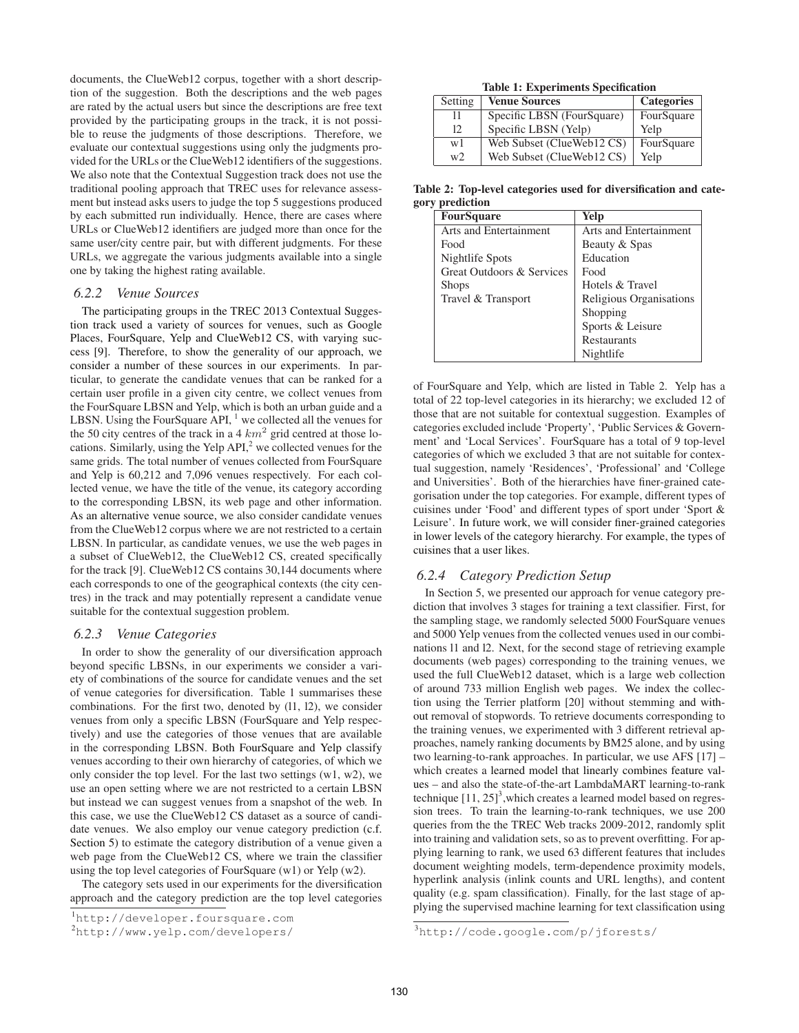documents, the ClueWeb12 corpus, together with a short description of the suggestion. Both the descriptions and the web pages are rated by the actual users but since the descriptions are free text provided by the participating groups in the track, it is not possible to reuse the judgments of those descriptions. Therefore, we evaluate our contextual suggestions using only the judgments provided for the URLs or the ClueWeb12 identifiers of the suggestions. We also note that the Contextual Suggestion track does not use the traditional pooling approach that TREC uses for relevance assessment but instead asks users to judge the top 5 suggestions produced by each submitted run individually. Hence, there are cases where URLs or ClueWeb12 identifiers are judged more than once for the same user/city centre pair, but with different judgments. For these URLs, we aggregate the various judgments available into a single one by taking the highest rating available.

#### *6.2.2 Venue Sources*

The participating groups in the TREC 2013 Contextual Suggestion track used a variety of sources for venues, such as Google Places, FourSquare, Yelp and ClueWeb12 CS, with varying success [9]. Therefore, to show the generality of our approach, we consider a number of these sources in our experiments. In particular, to generate the candidate venues that can be ranked for a certain user profile in a given city centre, we collect venues from the FourSquare LBSN and Yelp, which is both an urban guide and a LBSN. Using the FourSquare API, <sup>1</sup> we collected all the venues for the 50 city centres of the track in a 4  $km^2$  grid centred at those locations. Similarly, using the Yelp  $API<sub>1</sub><sup>2</sup>$  we collected venues for the same grids. The total number of venues collected from FourSquare and Yelp is 60,212 and 7,096 venues respectively. For each collected venue, we have the title of the venue, its category according to the corresponding LBSN, its web page and other information. As an alternative venue source, we also consider candidate venues from the ClueWeb12 corpus where we are not restricted to a certain LBSN. In particular, as candidate venues, we use the web pages in a subset of ClueWeb12, the ClueWeb12 CS, created specifically for the track [9]. ClueWeb12 CS contains 30,144 documents where each corresponds to one of the geographical contexts (the city centres) in the track and may potentially represent a candidate venue suitable for the contextual suggestion problem.

#### *6.2.3 Venue Categories*

In order to show the generality of our diversification approach beyond specific LBSNs, in our experiments we consider a variety of combinations of the source for candidate venues and the set of venue categories for diversification. Table 1 summarises these combinations. For the first two, denoted by (l1, l2), we consider venues from only a specific LBSN (FourSquare and Yelp respectively) and use the categories of those venues that are available in the corresponding LBSN. Both FourSquare and Yelp classify venues according to their own hierarchy of categories, of which we only consider the top level. For the last two settings  $(w1, w2)$ , we use an open setting where we are not restricted to a certain LBSN but instead we can suggest venues from a snapshot of the web. In this case, we use the ClueWeb12 CS dataset as a source of candidate venues. We also employ our venue category prediction (c.f. Section 5) to estimate the category distribution of a venue given a web page from the ClueWeb12 CS, where we train the classifier using the top level categories of FourSquare (w1) or Yelp (w2).

The category sets used in our experiments for the diversification approach and the category prediction are the top level categories

Table 1: Experiments Specification

| Setting | <b>Venue Sources</b>       | <b>Categories</b> |  |  |  |  |  |  |
|---------|----------------------------|-------------------|--|--|--|--|--|--|
| 11      | Specific LBSN (FourSquare) | FourSquare        |  |  |  |  |  |  |
| 12      | Specific LBSN (Yelp)       | Yelp              |  |  |  |  |  |  |
| w1      | Web Subset (ClueWeb12 CS)  | FourSquare        |  |  |  |  |  |  |
| w2      | Web Subset (ClueWeb12 CS)  | Yelp              |  |  |  |  |  |  |

Table 2: Top-level categories used for diversification and category prediction

| <b>FourSquare</b>         | Yelp                    |
|---------------------------|-------------------------|
| Arts and Entertainment    | Arts and Entertainment  |
| Food                      | Beauty & Spas           |
| Nightlife Spots           | Education               |
| Great Outdoors & Services | Food                    |
| <b>Shops</b>              | Hotels & Travel         |
| Travel & Transport        | Religious Organisations |
|                           | Shopping                |
|                           | Sports & Leisure        |
|                           | Restaurants             |
|                           | Nightlife               |

of FourSquare and Yelp, which are listed in Table 2. Yelp has a total of 22 top-level categories in its hierarchy; we excluded 12 of those that are not suitable for contextual suggestion. Examples of categories excluded include 'Property', 'Public Services & Government' and 'Local Services'. FourSquare has a total of 9 top-level categories of which we excluded 3 that are not suitable for contextual suggestion, namely 'Residences', 'Professional' and 'College and Universities'. Both of the hierarchies have finer-grained categorisation under the top categories. For example, different types of cuisines under 'Food' and different types of sport under 'Sport & Leisure'. In future work, we will consider finer-grained categories in lower levels of the category hierarchy. For example, the types of cuisines that a user likes.

#### *6.2.4 Category Prediction Setup*

In Section 5, we presented our approach for venue category prediction that involves 3 stages for training a text classifier. First, for the sampling stage, we randomly selected 5000 FourSquare venues and 5000 Yelp venues from the collected venues used in our combinations l1 and l2. Next, for the second stage of retrieving example documents (web pages) corresponding to the training venues, we used the full ClueWeb12 dataset, which is a large web collection of around 733 million English web pages. We index the collection using the Terrier platform [20] without stemming and without removal of stopwords. To retrieve documents corresponding to the training venues, we experimented with 3 different retrieval approaches, namely ranking documents by BM25 alone, and by using two learning-to-rank approaches. In particular, we use AFS [17] – which creates a learned model that linearly combines feature values – and also the state-of-the-art LambdaMART learning-to-rank technique  $[11, 25]^3$ , which creates a learned model based on regression trees. To train the learning-to-rank techniques, we use 200 queries from the the TREC Web tracks 2009-2012, randomly split into training and validation sets, so as to prevent overfitting. For applying learning to rank, we used 63 different features that includes document weighting models, term-dependence proximity models, hyperlink analysis (inlink counts and URL lengths), and content quality (e.g. spam classification). Finally, for the last stage of applying the supervised machine learning for text classification using

<sup>1</sup> http://developer.foursquare.com

<sup>2</sup> http://www.yelp.com/developers/

<sup>3</sup> http://code.google.com/p/jforests/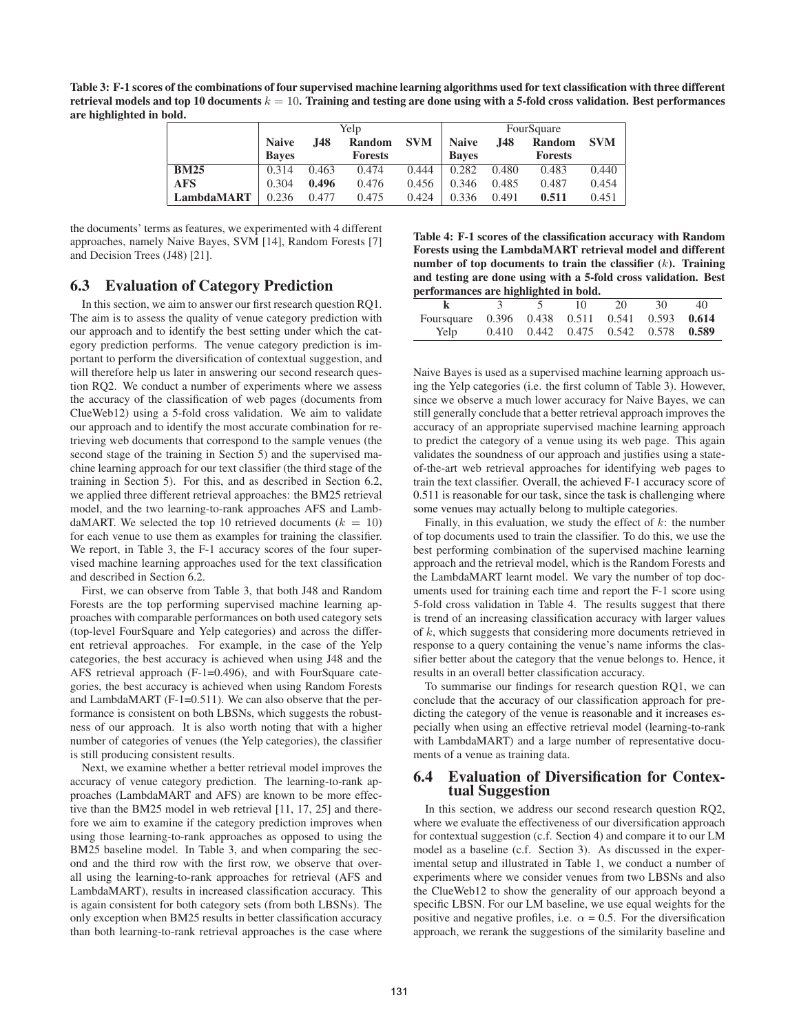Table 3: F-1 scores of the combinations of four supervised machine learning algorithms used for text classification with three different retrieval models and top 10 documents  $k = 10$ . Training and testing are done using with a 5-fold cross validation. Best performances are highlighted in bold.

|             |              |       | Yelp           |            |              |       | FourSquare     |            |
|-------------|--------------|-------|----------------|------------|--------------|-------|----------------|------------|
|             | <b>Naive</b> | J48   | Random         | <b>SVM</b> | <b>Naive</b> | .I48  | Random         | <b>SVM</b> |
|             | <b>Baves</b> |       | <b>Forests</b> |            | <b>Baves</b> |       | <b>Forests</b> |            |
| <b>BM25</b> | 0.314        | 0.463 | 0.474          | 0.444      | 0.282        | 0.480 | 0.483          | 0.440      |
| <b>AFS</b>  | 0.304        | 0.496 | 0.476          | 0.456      | 0.346        | 0.485 | 0.487          | 0.454      |
| LambdaMART  | 0.236        | 0.477 | 0.475          | 0.424      | 0.336        | 0.491 | 0.511          | 0.451      |

the documents' terms as features, we experimented with 4 different approaches, namely Naive Bayes, SVM [14], Random Forests [7] and Decision Trees (J48) [21].

## 6.3 Evaluation of Category Prediction

In this section, we aim to answer our first research question RQ1. The aim is to assess the quality of venue category prediction with our approach and to identify the best setting under which the category prediction performs. The venue category prediction is important to perform the diversification of contextual suggestion, and will therefore help us later in answering our second research question RQ2. We conduct a number of experiments where we assess the accuracy of the classification of web pages (documents from ClueWeb12) using a 5-fold cross validation. We aim to validate our approach and to identify the most accurate combination for retrieving web documents that correspond to the sample venues (the second stage of the training in Section 5) and the supervised machine learning approach for our text classifier (the third stage of the training in Section 5). For this, and as described in Section 6.2, we applied three different retrieval approaches: the BM25 retrieval model, and the two learning-to-rank approaches AFS and LambdaMART. We selected the top 10 retrieved documents ( $k = 10$ ) for each venue to use them as examples for training the classifier. We report, in Table 3, the F-1 accuracy scores of the four supervised machine learning approaches used for the text classification and described in Section 6.2.

First, we can observe from Table 3, that both J48 and Random Forests are the top performing supervised machine learning approaches with comparable performances on both used category sets (top-level FourSquare and Yelp categories) and across the different retrieval approaches. For example, in the case of the Yelp categories, the best accuracy is achieved when using J48 and the AFS retrieval approach (F-1=0.496), and with FourSquare categories, the best accuracy is achieved when using Random Forests and LambdaMART (F-1=0.511). We can also observe that the performance is consistent on both LBSNs, which suggests the robustness of our approach. It is also worth noting that with a higher number of categories of venues (the Yelp categories), the classifier is still producing consistent results.

Next, we examine whether a better retrieval model improves the accuracy of venue category prediction. The learning-to-rank approaches (LambdaMART and AFS) are known to be more effective than the BM25 model in web retrieval [11, 17, 25] and therefore we aim to examine if the category prediction improves when using those learning-to-rank approaches as opposed to using the BM25 baseline model. In Table 3, and when comparing the second and the third row with the first row, we observe that overall using the learning-to-rank approaches for retrieval (AFS and LambdaMART), results in increased classification accuracy. This is again consistent for both category sets (from both LBSNs). The only exception when BM25 results in better classification accuracy than both learning-to-rank retrieval approaches is the case where

Table 4: F-1 scores of the classification accuracy with Random Forests using the LambdaMART retrieval model and different number of top documents to train the classifier  $(k)$ . Training and testing are done using with a 5-fold cross validation. Best performances are highlighted in bold.

| performances are ingungnicu in bonu.           |  |  |                                                 |    |    |    |  |  |
|------------------------------------------------|--|--|-------------------------------------------------|----|----|----|--|--|
|                                                |  |  | 10.                                             | 20 | 30 | 40 |  |  |
| Foursquare 0.396 0.438 0.511 0.541 0.593 0.614 |  |  |                                                 |    |    |    |  |  |
| Yelp                                           |  |  | $0.410$ $0.442$ $0.475$ $0.542$ $0.578$ $0.589$ |    |    |    |  |  |

Naive Bayes is used as a supervised machine learning approach using the Yelp categories (i.e. the first column of Table 3). However, since we observe a much lower accuracy for Naive Bayes, we can still generally conclude that a better retrieval approach improves the accuracy of an appropriate supervised machine learning approach to predict the category of a venue using its web page. This again validates the soundness of our approach and justifies using a stateof-the-art web retrieval approaches for identifying web pages to train the text classifier. Overall, the achieved F-1 accuracy score of 0.511 is reasonable for our task, since the task is challenging where some venues may actually belong to multiple categories.

Finally, in this evaluation, we study the effect of  $k$ : the number of top documents used to train the classifier. To do this, we use the best performing combination of the supervised machine learning approach and the retrieval model, which is the Random Forests and the LambdaMART learnt model. We vary the number of top documents used for training each time and report the F-1 score using 5-fold cross validation in Table 4. The results suggest that there is trend of an increasing classification accuracy with larger values of k, which suggests that considering more documents retrieved in response to a query containing the venue's name informs the classifier better about the category that the venue belongs to. Hence, it results in an overall better classification accuracy.

To summarise our findings for research question RQ1, we can conclude that the accuracy of our classification approach for predicting the category of the venue is reasonable and it increases especially when using an effective retrieval model (learning-to-rank with LambdaMART) and a large number of representative documents of a venue as training data.

#### 6.4 Evaluation of Diversification for Contextual Suggestion

In this section, we address our second research question RQ2, where we evaluate the effectiveness of our diversification approach for contextual suggestion (c.f. Section 4) and compare it to our LM model as a baseline (c.f. Section 3). As discussed in the experimental setup and illustrated in Table 1, we conduct a number of experiments where we consider venues from two LBSNs and also the ClueWeb12 to show the generality of our approach beyond a specific LBSN. For our LM baseline, we use equal weights for the positive and negative profiles, i.e.  $\alpha = 0.5$ . For the diversification approach, we rerank the suggestions of the similarity baseline and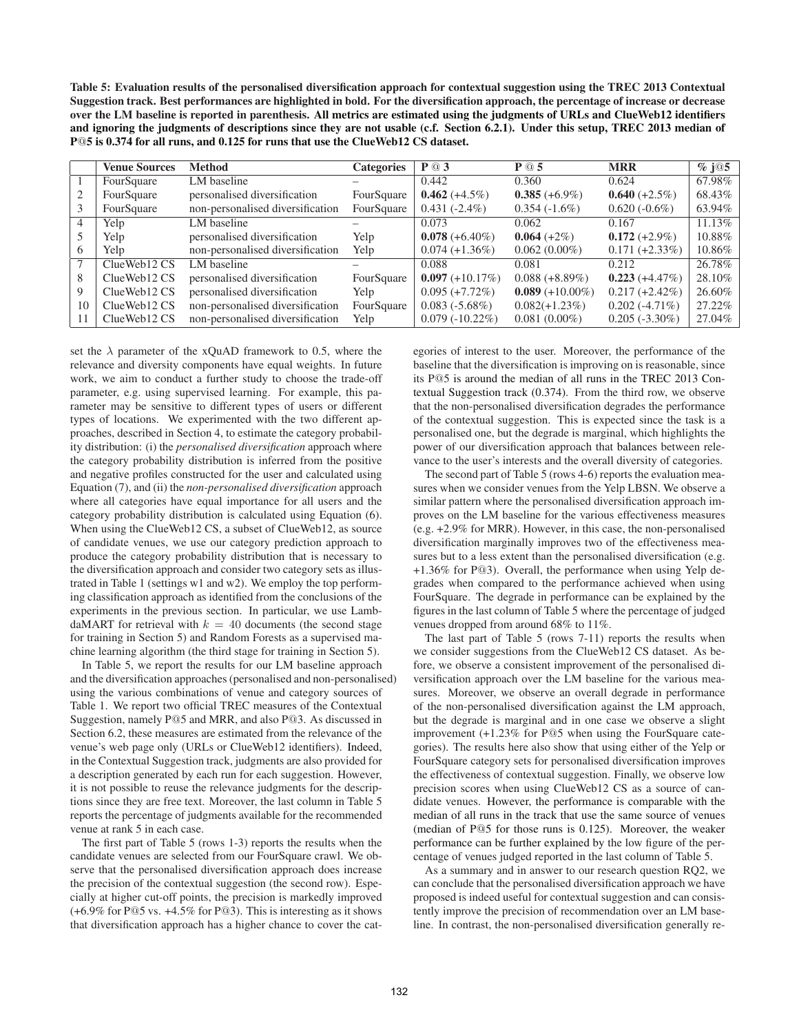Table 5: Evaluation results of the personalised diversification approach for contextual suggestion using the TREC 2013 Contextual Suggestion track. Best performances are highlighted in bold. For the diversification approach, the percentage of increase or decrease over the LM baseline is reported in parenthesis. All metrics are estimated using the judgments of URLs and ClueWeb12 identifiers and ignoring the judgments of descriptions since they are not usable (c.f. Section 6.2.1). Under this setup, TREC 2013 median of P@5 is 0.374 for all runs, and 0.125 for runs that use the ClueWeb12 CS dataset.

|    | <b>Venue Sources</b> | <b>Method</b>                    | <b>Categories</b> | P @ 3             | P @ 5              | <b>MRR</b>        | $\frac{6}{6}$ j $\overline{\omega}$ 5 |
|----|----------------------|----------------------------------|-------------------|-------------------|--------------------|-------------------|---------------------------------------|
|    | FourSquare           | LM baseline                      |                   | 0.442             | 0.360              | 0.624             | 67.98%                                |
|    | FourSquare           | personalised diversification     | FourSquare        | $0.462 (+4.5%)$   | $0.385 (+6.9\%)$   | $0.640 (+2.5%)$   | 68.43%                                |
|    | FourSquare           | non-personalised diversification | FourSquare        | $0.431(-2.4\%)$   | $0.354(-1.6\%)$    | $0.620(-0.6\%)$   | 63.94%                                |
| 4  | Yelp                 | LM baseline                      |                   | 0.073             | 0.062              | 0.167             | 11.13%                                |
|    | Yelp                 | personalised diversification     | Yelp              | $0.078 (+6.40\%)$ | $0.064 (+2%)$      | $0.172 (+2.9\%)$  | 10.88%                                |
| 6  | Yelp                 | non-personalised diversification | Yelp              | $0.074 (+1.36\%)$ | $0.062(0.00\%)$    | $0.171 (+2.33\%)$ | 10.86%                                |
|    | ClueWeb12 CS         | LM baseline                      |                   | 0.088             | 0.081              | 0.212             | 26.78%                                |
| 8  | ClueWeb12 CS         | personalised diversification     | FourSquare        | $0.097 (+10.17%)$ | $0.088 (+8.89%)$   | $0.223 (+4.47%)$  | 28.10%                                |
| 9  | ClueWeb12 CS         | personalised diversification     | Yelp              | $0.095 (+7.72\%)$ | $0.089 (+10.00\%)$ | $0.217 (+2.42\%)$ | 26.60%                                |
| 10 | ClueWeb12 CS         | non-personalised diversification | FourSquare        | $0.083(-5.68\%)$  | $0.082(+1.23\%)$   | $0.202(-4.71\%)$  | 27.22%                                |
| 11 | ClueWeb12 CS         | non-personalised diversification | Yelp              | $0.079(-10.22\%)$ | $0.081(0.00\%)$    | $0.205(-3.30\%)$  | 27.04%                                |

set the  $\lambda$  parameter of the xQuAD framework to 0.5, where the relevance and diversity components have equal weights. In future work, we aim to conduct a further study to choose the trade-off parameter, e.g. using supervised learning. For example, this parameter may be sensitive to different types of users or different types of locations. We experimented with the two different approaches, described in Section 4, to estimate the category probability distribution: (i) the *personalised diversification* approach where the category probability distribution is inferred from the positive and negative profiles constructed for the user and calculated using Equation (7), and (ii) the *non-personalised diversification* approach where all categories have equal importance for all users and the category probability distribution is calculated using Equation (6). When using the ClueWeb12 CS, a subset of ClueWeb12, as source of candidate venues, we use our category prediction approach to produce the category probability distribution that is necessary to the diversification approach and consider two category sets as illustrated in Table 1 (settings w1 and w2). We employ the top performing classification approach as identified from the conclusions of the experiments in the previous section. In particular, we use LambdaMART for retrieval with  $k = 40$  documents (the second stage for training in Section 5) and Random Forests as a supervised machine learning algorithm (the third stage for training in Section 5).

In Table 5, we report the results for our LM baseline approach and the diversification approaches (personalised and non-personalised) using the various combinations of venue and category sources of Table 1. We report two official TREC measures of the Contextual Suggestion, namely P@5 and MRR, and also P@3. As discussed in Section 6.2, these measures are estimated from the relevance of the venue's web page only (URLs or ClueWeb12 identifiers). Indeed, in the Contextual Suggestion track, judgments are also provided for a description generated by each run for each suggestion. However, it is not possible to reuse the relevance judgments for the descriptions since they are free text. Moreover, the last column in Table 5 reports the percentage of judgments available for the recommended venue at rank 5 in each case.

The first part of Table 5 (rows 1-3) reports the results when the candidate venues are selected from our FourSquare crawl. We observe that the personalised diversification approach does increase the precision of the contextual suggestion (the second row). Especially at higher cut-off points, the precision is markedly improved (+6.9% for P@5 vs. +4.5% for P@3). This is interesting as it shows that diversification approach has a higher chance to cover the categories of interest to the user. Moreover, the performance of the baseline that the diversification is improving on is reasonable, since its P@5 is around the median of all runs in the TREC 2013 Contextual Suggestion track (0.374). From the third row, we observe that the non-personalised diversification degrades the performance of the contextual suggestion. This is expected since the task is a personalised one, but the degrade is marginal, which highlights the power of our diversification approach that balances between relevance to the user's interests and the overall diversity of categories.

The second part of Table 5 (rows 4-6) reports the evaluation measures when we consider venues from the Yelp LBSN. We observe a similar pattern where the personalised diversification approach improves on the LM baseline for the various effectiveness measures (e.g. +2.9% for MRR). However, in this case, the non-personalised diversification marginally improves two of the effectiveness measures but to a less extent than the personalised diversification (e.g. +1.36% for P@3). Overall, the performance when using Yelp degrades when compared to the performance achieved when using FourSquare. The degrade in performance can be explained by the figures in the last column of Table 5 where the percentage of judged venues dropped from around 68% to 11%.

The last part of Table 5 (rows 7-11) reports the results when we consider suggestions from the ClueWeb12 CS dataset. As before, we observe a consistent improvement of the personalised diversification approach over the LM baseline for the various measures. Moreover, we observe an overall degrade in performance of the non-personalised diversification against the LM approach, but the degrade is marginal and in one case we observe a slight improvement (+1.23% for P@5 when using the FourSquare categories). The results here also show that using either of the Yelp or FourSquare category sets for personalised diversification improves the effectiveness of contextual suggestion. Finally, we observe low precision scores when using ClueWeb12 CS as a source of candidate venues. However, the performance is comparable with the median of all runs in the track that use the same source of venues (median of P@5 for those runs is 0.125). Moreover, the weaker performance can be further explained by the low figure of the percentage of venues judged reported in the last column of Table 5.

As a summary and in answer to our research question RQ2, we can conclude that the personalised diversification approach we have proposed is indeed useful for contextual suggestion and can consistently improve the precision of recommendation over an LM baseline. In contrast, the non-personalised diversification generally re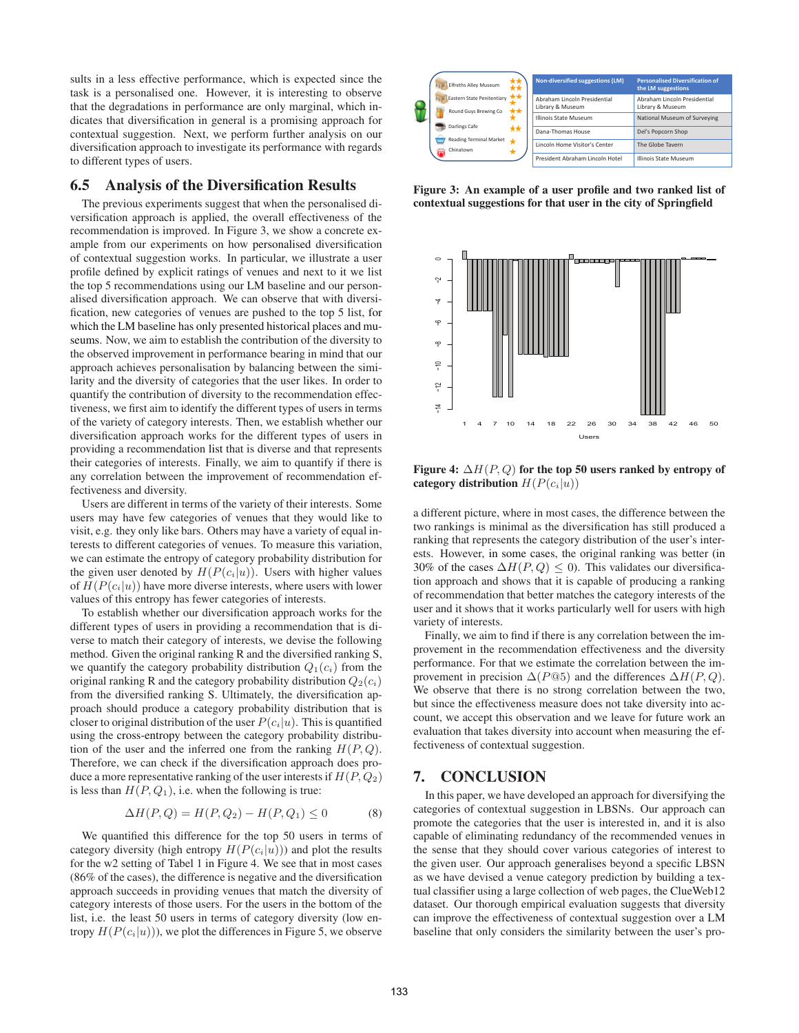sults in a less effective performance, which is expected since the task is a personalised one. However, it is interesting to observe that the degradations in performance are only marginal, which indicates that diversification in general is a promising approach for contextual suggestion. Next, we perform further analysis on our diversification approach to investigate its performance with regards to different types of users.

## 6.5 Analysis of the Diversification Results

The previous experiments suggest that when the personalised diversification approach is applied, the overall effectiveness of the recommendation is improved. In Figure 3, we show a concrete example from our experiments on how personalised diversification of contextual suggestion works. In particular, we illustrate a user profile defined by explicit ratings of venues and next to it we list the top 5 recommendations using our LM baseline and our personalised diversification approach. We can observe that with diversification, new categories of venues are pushed to the top 5 list, for which the LM baseline has only presented historical places and museums. Now, we aim to establish the contribution of the diversity to the observed improvement in performance bearing in mind that our approach achieves personalisation by balancing between the similarity and the diversity of categories that the user likes. In order to quantify the contribution of diversity to the recommendation effectiveness, we first aim to identify the different types of users in terms of the variety of category interests. Then, we establish whether our diversification approach works for the different types of users in providing a recommendation list that is diverse and that represents their categories of interests. Finally, we aim to quantify if there is any correlation between the improvement of recommendation effectiveness and diversity.

Users are different in terms of the variety of their interests. Some users may have few categories of venues that they would like to visit, e.g. they only like bars. Others may have a variety of equal interests to different categories of venues. To measure this variation, we can estimate the entropy of category probability distribution for the given user denoted by  $H(P(c_i|u))$ . Users with higher values of  $H(P(c_i|u))$  have more diverse interests, where users with lower values of this entropy has fewer categories of interests.

To establish whether our diversification approach works for the different types of users in providing a recommendation that is diverse to match their category of interests, we devise the following method. Given the original ranking R and the diversified ranking S, we quantify the category probability distribution  $Q_1(c_i)$  from the original ranking R and the category probability distribution  $Q_2(c_i)$ from the diversified ranking S. Ultimately, the diversification approach should produce a category probability distribution that is closer to original distribution of the user  $P(c_i|u)$ . This is quantified using the cross-entropy between the category probability distribution of the user and the inferred one from the ranking  $H(P,Q)$ . Therefore, we can check if the diversification approach does produce a more representative ranking of the user interests if  $H(P, Q_2)$ is less than  $H(P, Q_1)$ , i.e. when the following is true:

$$
\Delta H(P,Q) = H(P,Q_2) - H(P,Q_1) \le 0 \tag{8}
$$

We quantified this difference for the top 50 users in terms of category diversity (high entropy  $H(P(c_i|u))$ ) and plot the results for the w2 setting of Tabel 1 in Figure 4. We see that in most cases (86% of the cases), the difference is negative and the diversification approach succeeds in providing venues that match the diversity of category interests of those users. For the users in the bottom of the list, i.e. the least 50 users in terms of category diversity (low entropy  $H(P(c_i|u))$ , we plot the differences in Figure 5, we observe

| <b>Elfreths Alley Museum</b>                        | **<br>** | Non-diversified suggestions (LM)                 | <b>Personalised Diversification of</b><br>the LM suggestions |
|-----------------------------------------------------|----------|--------------------------------------------------|--------------------------------------------------------------|
| Eastern State Penitentiary<br>Round Guys Brewing Co | **<br>** | Abraham Lincoln Presidential<br>Library & Museum | Abraham Lincoln Presidential<br>Library & Museum             |
| Darlings Cafe                                       |          | <b>Illinois State Museum</b>                     | National Museum of Surveying                                 |
| <b>Reading Terminal Market</b>                      | **       | Dana-Thomas House                                | Del's Popcorn Shop                                           |
| Chinatown<br>靍                                      |          | Lincoln Home Visitor's Center                    | The Globe Tavern                                             |
|                                                     |          | President Abraham Lincoln Hotel                  | Illinois State Museum                                        |

Figure 3: An example of a user profile and two ranked list of contextual suggestions for that user in the city of Springfield



Figure 4:  $\Delta H(P,Q)$  for the top 50 users ranked by entropy of category distribution  $H(P(c_i|u))$ 

a different picture, where in most cases, the difference between the two rankings is minimal as the diversification has still produced a ranking that represents the category distribution of the user's interests. However, in some cases, the original ranking was better (in 30% of the cases  $\Delta H(P,Q) \leq 0$ ). This validates our diversification approach and shows that it is capable of producing a ranking of recommendation that better matches the category interests of the user and it shows that it works particularly well for users with high variety of interests.

Finally, we aim to find if there is any correlation between the improvement in the recommendation effectiveness and the diversity performance. For that we estimate the correlation between the improvement in precision  $\Delta(P@5)$  and the differences  $\Delta H(P,Q)$ . We observe that there is no strong correlation between the two, but since the effectiveness measure does not take diversity into account, we accept this observation and we leave for future work an evaluation that takes diversity into account when measuring the effectiveness of contextual suggestion.

#### 7. CONCLUSION

In this paper, we have developed an approach for diversifying the categories of contextual suggestion in LBSNs. Our approach can promote the categories that the user is interested in, and it is also capable of eliminating redundancy of the recommended venues in the sense that they should cover various categories of interest to the given user. Our approach generalises beyond a specific LBSN as we have devised a venue category prediction by building a textual classifier using a large collection of web pages, the ClueWeb12 dataset. Our thorough empirical evaluation suggests that diversity can improve the effectiveness of contextual suggestion over a LM baseline that only considers the similarity between the user's pro-